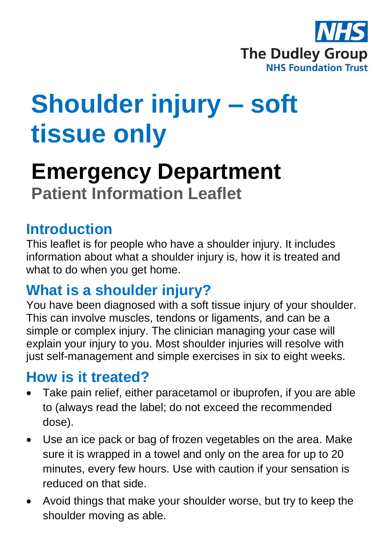

# **Shoulder injury – soft tissue only**

## **Emergency Department Patient Information Leaflet**

## **Introduction**

This leaflet is for people who have a shoulder injury. It includes information about what a shoulder injury is, how it is treated and what to do when you get home.

## **What is a shoulder injury?**

You have been diagnosed with a soft tissue injury of your shoulder. This can involve muscles, tendons or ligaments, and can be a simple or complex injury. The clinician managing your case will explain your injury to you. Most shoulder injuries will resolve with just self-management and simple exercises in six to eight weeks.

### **How is it treated?**

- Take pain relief, either paracetamol or ibuprofen, if you are able to (always read the label; do not exceed the recommended dose).
- Use an ice pack or bag of frozen vegetables on the area. Make sure it is wrapped in a towel and only on the area for up to 20 minutes, every few hours. Use with caution if your sensation is reduced on that side.
- Avoid things that make your shoulder worse, but try to keep the shoulder moving as able.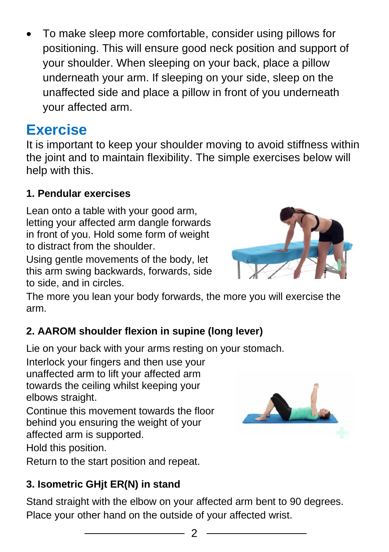• To make sleep more comfortable, consider using pillows for positioning. This will ensure good neck position and support of your shoulder. When sleeping on your back, place a pillow underneath your arm. If sleeping on your side, sleep on the unaffected side and place a pillow in front of you underneath your affected arm.

## **Exercise**

It is important to keep your shoulder moving to avoid stiffness within the joint and to maintain flexibility. The simple exercises below will help with this.

#### **1. Pendular exercises**

Lean onto a table with your good arm. letting your affected arm dangle forwards in front of you. Hold some form of weight to distract from the shoulder.

Using gentle movements of the body, let this arm swing backwards, forwards, side to side, and in circles.



The more you lean your body forwards, the more you will exercise the arm.

#### **2. AAROM shoulder flexion in supine (long lever)**

Lie on your back with your arms resting on your stomach.

Interlock your fingers and then use your unaffected arm to lift your affected arm towards the ceiling whilst keeping your elbows straight.

Continue this movement towards the floor behind you ensuring the weight of your affected arm is supported.

Hold this position.

Return to the start position and repeat.

#### **3. Isometric GHjt ER(N) in stand**

Stand straight with the elbow on your affected arm bent to 90 degrees. Place your other hand on the outside of your affected wrist.



 $\mathfrak{D}$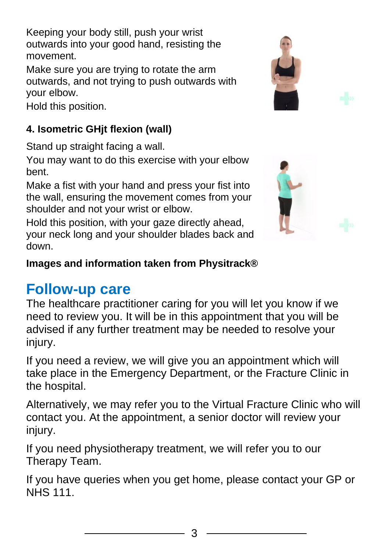Keeping your body still, push your wrist outwards into your good hand, resisting the movement.

Make sure you are trying to rotate the arm outwards, and not trying to push outwards with your elbow.

Hold this position.

#### **4. Isometric GHjt flexion (wall)**

Stand up straight facing a wall.

You may want to do this exercise with your elbow bent.

Make a fist with your hand and press your fist into the wall, ensuring the movement comes from your shoulder and not your wrist or elbow.

Hold this position, with your gaze directly ahead, your neck long and your shoulder blades back and down.

#### **Images and information taken from Physitrack®**

## **Follow-up care**

The healthcare practitioner caring for you will let you know if we need to review you. It will be in this appointment that you will be advised if any further treatment may be needed to resolve your injury.

If you need a review, we will give you an appointment which will take place in the Emergency Department, or the Fracture Clinic in the hospital.

Alternatively, we may refer you to the Virtual Fracture Clinic who will contact you. At the appointment, a senior doctor will review your injury.

If you need physiotherapy treatment, we will refer you to our Therapy Team.

If you have queries when you get home, please contact your GP or NHS 111.